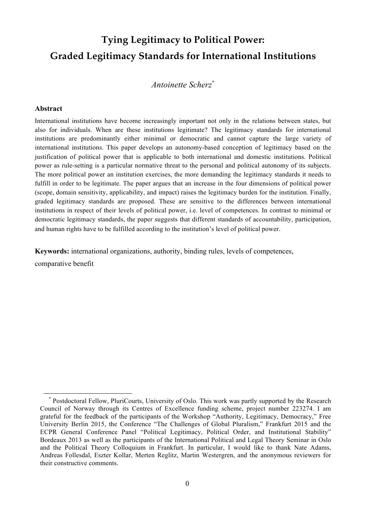# **Tying Legitimacy to Political Power: Graded Legitimacy Standards for International Institutions**

*Antoinette Scherz*\*

### **Abstract**

International institutions have become increasingly important not only in the relations between states, but also for individuals. When are these institutions legitimate? The legitimacy standards for international institutions are predominantly either minimal or democratic and cannot capture the large variety of international institutions. This paper develops an autonomy-based conception of legitimacy based on the justification of political power that is applicable to both international and domestic institutions. Political power as rule-setting is a particular normative threat to the personal and political autonomy of its subjects. The more political power an institution exercises, the more demanding the legitimacy standards it needs to fulfill in order to be legitimate. The paper argues that an increase in the four dimensions of political power (scope, domain sensitivity, applicability, and impact) raises the legitimacy burden for the institution. Finally, graded legitimacy standards are proposed. These are sensitive to the differences between international institutions in respect of their levels of political power, i.e. level of competences. In contrast to minimal or democratic legitimacy standards, the paper suggests that different standards of accountability, participation, and human rights have to be fulfilled according to the institution's level of political power.

**Keywords:** international organizations, authority, binding rules, levels of competences,

comparative benefit

 <sup>\*</sup> Postdoctoral Fellow, PluriCourts, University of Oslo. This work was partly supported by the Research Council of Norway through its Centres of Excellence funding scheme, project number 223274. I am grateful for the feedback of the participants of the Workshop "Authority, Legitimacy, Democracy," Free University Berlin 2015, the Conference "The Challenges of Global Pluralism," Frankfurt 2015 and the ECPR General Conference Panel "Political Legitimacy, Political Order, and Institutional Stability" Bordeaux 2013 as well as the participants of the International Political and Legal Theory Seminar in Oslo and the Political Theory Colloquium in Frankfurt. In particular, I would like to thank Nate Adams, Andreas Follesdal, Eszter Kollar, Merten Reglitz, Martin Westergren, and the anonymous reviewers for their constructive comments.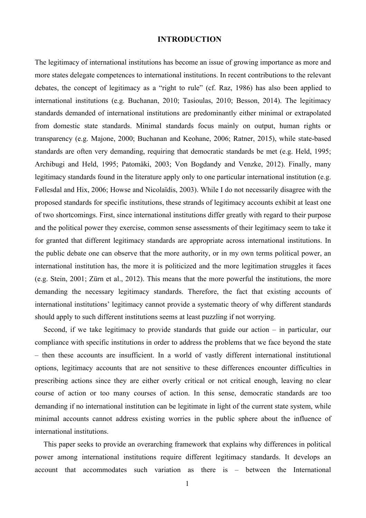### **INTRODUCTION**

The legitimacy of international institutions has become an issue of growing importance as more and more states delegate competences to international institutions. In recent contributions to the relevant debates, the concept of legitimacy as a "right to rule" (cf. Raz, 1986) has also been applied to international institutions (e.g. Buchanan, 2010; Tasioulas, 2010; Besson, 2014). The legitimacy standards demanded of international institutions are predominantly either minimal or extrapolated from domestic state standards. Minimal standards focus mainly on output, human rights or transparency (e.g. Majone, 2000; Buchanan and Keohane, 2006; Ratner, 2015), while state-based standards are often very demanding, requiring that democratic standards be met (e.g. Held, 1995; Archibugi and Held, 1995; Patomäki, 2003; Von Bogdandy and Venzke, 2012). Finally, many legitimacy standards found in the literature apply only to one particular international institution (e.g. Føllesdal and Hix, 2006; Howse and Nicolaïdis, 2003). While I do not necessarily disagree with the proposed standards for specific institutions, these strands of legitimacy accounts exhibit at least one of two shortcomings. First, since international institutions differ greatly with regard to their purpose and the political power they exercise, common sense assessments of their legitimacy seem to take it for granted that different legitimacy standards are appropriate across international institutions. In the public debate one can observe that the more authority, or in my own terms political power, an international institution has, the more it is politicized and the more legitimation struggles it faces (e.g. Stein, 2001; Zürn et al., 2012). This means that the more powerful the institutions, the more demanding the necessary legitimacy standards. Therefore, the fact that existing accounts of international institutions' legitimacy cannot provide a systematic theory of why different standards should apply to such different institutions seems at least puzzling if not worrying.

Second, if we take legitimacy to provide standards that guide our action – in particular, our compliance with specific institutions in order to address the problems that we face beyond the state – then these accounts are insufficient. In a world of vastly different international institutional options, legitimacy accounts that are not sensitive to these differences encounter difficulties in prescribing actions since they are either overly critical or not critical enough, leaving no clear course of action or too many courses of action. In this sense, democratic standards are too demanding if no international institution can be legitimate in light of the current state system, while minimal accounts cannot address existing worries in the public sphere about the influence of international institutions.

This paper seeks to provide an overarching framework that explains why differences in political power among international institutions require different legitimacy standards. It develops an account that accommodates such variation as there is – between the International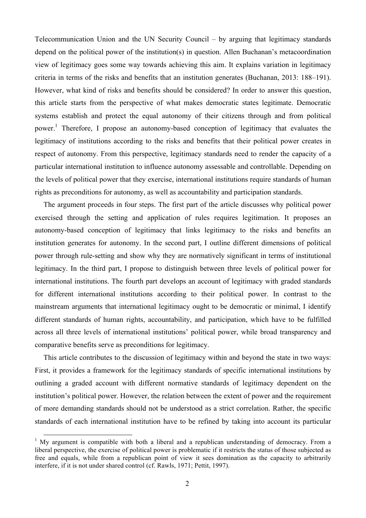Telecommunication Union and the UN Security Council – by arguing that legitimacy standards depend on the political power of the institution(s) in question. Allen Buchanan's metacoordination view of legitimacy goes some way towards achieving this aim. It explains variation in legitimacy criteria in terms of the risks and benefits that an institution generates (Buchanan, 2013: 188–191). However, what kind of risks and benefits should be considered? In order to answer this question, this article starts from the perspective of what makes democratic states legitimate. Democratic systems establish and protect the equal autonomy of their citizens through and from political power.<sup>1</sup> Therefore, I propose an autonomy-based conception of legitimacy that evaluates the legitimacy of institutions according to the risks and benefits that their political power creates in respect of autonomy. From this perspective, legitimacy standards need to render the capacity of a particular international institution to influence autonomy assessable and controllable. Depending on the levels of political power that they exercise, international institutions require standards of human rights as preconditions for autonomy, as well as accountability and participation standards.

The argument proceeds in four steps. The first part of the article discusses why political power exercised through the setting and application of rules requires legitimation. It proposes an autonomy-based conception of legitimacy that links legitimacy to the risks and benefits an institution generates for autonomy. In the second part, I outline different dimensions of political power through rule-setting and show why they are normatively significant in terms of institutional legitimacy. In the third part, I propose to distinguish between three levels of political power for international institutions. The fourth part develops an account of legitimacy with graded standards for different international institutions according to their political power. In contrast to the mainstream arguments that international legitimacy ought to be democratic or minimal, I identify different standards of human rights, accountability, and participation, which have to be fulfilled across all three levels of international institutions' political power, while broad transparency and comparative benefits serve as preconditions for legitimacy.

This article contributes to the discussion of legitimacy within and beyond the state in two ways: First, it provides a framework for the legitimacy standards of specific international institutions by outlining a graded account with different normative standards of legitimacy dependent on the institution's political power. However, the relation between the extent of power and the requirement of more demanding standards should not be understood as a strict correlation. Rather, the specific standards of each international institution have to be refined by taking into account its particular

 $1$  My argument is compatible with both a liberal and a republican understanding of democracy. From a liberal perspective, the exercise of political power is problematic if it restricts the status of those subjected as free and equals, while from a republican point of view it sees domination as the capacity to arbitrarily interfere, if it is not under shared control (cf. Rawls, 1971; Pettit, 1997).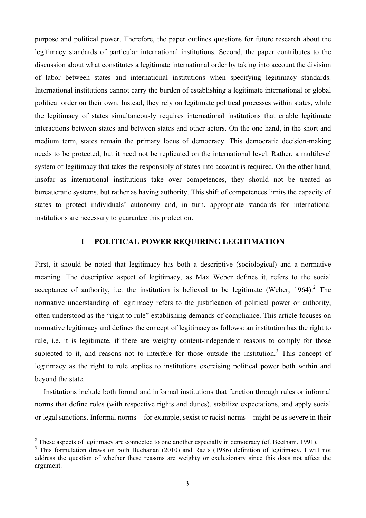purpose and political power. Therefore, the paper outlines questions for future research about the legitimacy standards of particular international institutions. Second, the paper contributes to the discussion about what constitutes a legitimate international order by taking into account the division of labor between states and international institutions when specifying legitimacy standards. International institutions cannot carry the burden of establishing a legitimate international or global political order on their own. Instead, they rely on legitimate political processes within states, while the legitimacy of states simultaneously requires international institutions that enable legitimate interactions between states and between states and other actors. On the one hand, in the short and medium term, states remain the primary locus of democracy. This democratic decision-making needs to be protected, but it need not be replicated on the international level. Rather, a multilevel system of legitimacy that takes the responsibly of states into account is required. On the other hand, insofar as international institutions take over competences, they should not be treated as bureaucratic systems, but rather as having authority. This shift of competences limits the capacity of states to protect individuals' autonomy and, in turn, appropriate standards for international institutions are necessary to guarantee this protection.

# **I POLITICAL POWER REQUIRING LEGITIMATION**

First, it should be noted that legitimacy has both a descriptive (sociological) and a normative meaning. The descriptive aspect of legitimacy, as Max Weber defines it, refers to the social acceptance of authority, i.e. the institution is believed to be legitimate (Weber, 1964).<sup>2</sup> The normative understanding of legitimacy refers to the justification of political power or authority, often understood as the "right to rule" establishing demands of compliance. This article focuses on normative legitimacy and defines the concept of legitimacy as follows: an institution has the right to rule, i.e. it is legitimate, if there are weighty content-independent reasons to comply for those subjected to it, and reasons not to interfere for those outside the institution.<sup>3</sup> This concept of legitimacy as the right to rule applies to institutions exercising political power both within and beyond the state.

Institutions include both formal and informal institutions that function through rules or informal norms that define roles (with respective rights and duties), stabilize expectations, and apply social or legal sanctions. Informal norms – for example, sexist or racist norms – might be as severe in their

<sup>&</sup>lt;sup>2</sup> These aspects of legitimacy are connected to one another especially in democracy (cf. Beetham, 1991).<br><sup>3</sup> This formulation draws on both Buchanan (2010) and Raz's (1986) definition of legitimacy. I will not

address the question of whether these reasons are weighty or exclusionary since this does not affect the argument.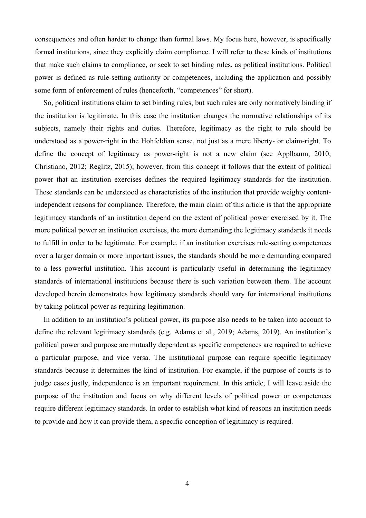consequences and often harder to change than formal laws. My focus here, however, is specifically formal institutions, since they explicitly claim compliance. I will refer to these kinds of institutions that make such claims to compliance, or seek to set binding rules, as political institutions. Political power is defined as rule-setting authority or competences, including the application and possibly some form of enforcement of rules (henceforth, "competences" for short).

So, political institutions claim to set binding rules, but such rules are only normatively binding if the institution is legitimate. In this case the institution changes the normative relationships of its subjects, namely their rights and duties. Therefore, legitimacy as the right to rule should be understood as a power-right in the Hohfeldian sense, not just as a mere liberty- or claim-right. To define the concept of legitimacy as power-right is not a new claim (see Applbaum, 2010; Christiano, 2012; Reglitz, 2015); however, from this concept it follows that the extent of political power that an institution exercises defines the required legitimacy standards for the institution. These standards can be understood as characteristics of the institution that provide weighty contentindependent reasons for compliance. Therefore, the main claim of this article is that the appropriate legitimacy standards of an institution depend on the extent of political power exercised by it. The more political power an institution exercises, the more demanding the legitimacy standards it needs to fulfill in order to be legitimate. For example, if an institution exercises rule-setting competences over a larger domain or more important issues, the standards should be more demanding compared to a less powerful institution. This account is particularly useful in determining the legitimacy standards of international institutions because there is such variation between them. The account developed herein demonstrates how legitimacy standards should vary for international institutions by taking political power as requiring legitimation.

In addition to an institution's political power, its purpose also needs to be taken into account to define the relevant legitimacy standards (e.g. Adams et al., 2019; Adams, 2019). An institution's political power and purpose are mutually dependent as specific competences are required to achieve a particular purpose, and vice versa. The institutional purpose can require specific legitimacy standards because it determines the kind of institution. For example, if the purpose of courts is to judge cases justly, independence is an important requirement. In this article, I will leave aside the purpose of the institution and focus on why different levels of political power or competences require different legitimacy standards. In order to establish what kind of reasons an institution needs to provide and how it can provide them, a specific conception of legitimacy is required.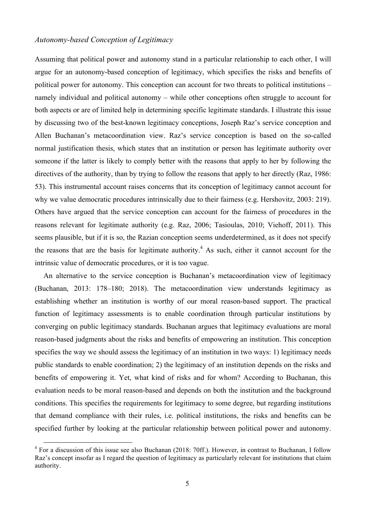### *Autonomy-based Conception of Legitimacy*

Assuming that political power and autonomy stand in a particular relationship to each other, I will argue for an autonomy-based conception of legitimacy, which specifies the risks and benefits of political power for autonomy. This conception can account for two threats to political institutions – namely individual and political autonomy – while other conceptions often struggle to account for both aspects or are of limited help in determining specific legitimate standards. I illustrate this issue by discussing two of the best-known legitimacy conceptions, Joseph Raz's service conception and Allen Buchanan's metacoordination view. Raz's service conception is based on the so-called normal justification thesis, which states that an institution or person has legitimate authority over someone if the latter is likely to comply better with the reasons that apply to her by following the directives of the authority, than by trying to follow the reasons that apply to her directly (Raz, 1986: 53). This instrumental account raises concerns that its conception of legitimacy cannot account for why we value democratic procedures intrinsically due to their fairness (e.g. Hershovitz, 2003: 219). Others have argued that the service conception can account for the fairness of procedures in the reasons relevant for legitimate authority (e.g. Raz, 2006; Tasioulas, 2010; Viehoff, 2011). This seems plausible, but if it is so, the Razian conception seems underdetermined, as it does not specify the reasons that are the basis for legitimate authority. <sup>4</sup> As such, either it cannot account for the intrinsic value of democratic procedures, or it is too vague.

An alternative to the service conception is Buchanan's metacoordination view of legitimacy (Buchanan, 2013: 178–180; 2018). The metacoordination view understands legitimacy as establishing whether an institution is worthy of our moral reason-based support. The practical function of legitimacy assessments is to enable coordination through particular institutions by converging on public legitimacy standards. Buchanan argues that legitimacy evaluations are moral reason-based judgments about the risks and benefits of empowering an institution. This conception specifies the way we should assess the legitimacy of an institution in two ways: 1) legitimacy needs public standards to enable coordination; 2) the legitimacy of an institution depends on the risks and benefits of empowering it. Yet, what kind of risks and for whom? According to Buchanan, this evaluation needs to be moral reason-based and depends on both the institution and the background conditions. This specifies the requirements for legitimacy to some degree, but regarding institutions that demand compliance with their rules, i.e. political institutions, the risks and benefits can be specified further by looking at the particular relationship between political power and autonomy.

<sup>&</sup>lt;sup>4</sup> For a discussion of this issue see also Buchanan (2018: 70ff.). However, in contrast to Buchanan, I follow Raz's concept insofar as I regard the question of legitimacy as particularly relevant for institutions that claim authority.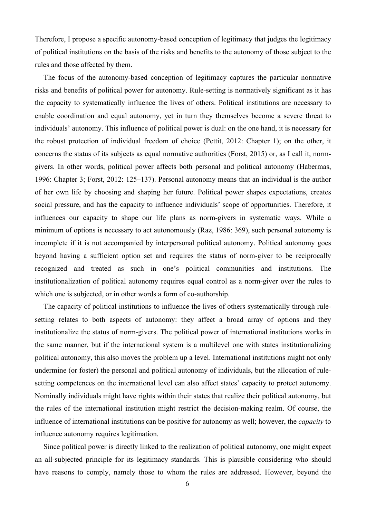Therefore, I propose a specific autonomy-based conception of legitimacy that judges the legitimacy of political institutions on the basis of the risks and benefits to the autonomy of those subject to the rules and those affected by them.

The focus of the autonomy-based conception of legitimacy captures the particular normative risks and benefits of political power for autonomy. Rule-setting is normatively significant as it has the capacity to systematically influence the lives of others. Political institutions are necessary to enable coordination and equal autonomy, yet in turn they themselves become a severe threat to individuals' autonomy. This influence of political power is dual: on the one hand, it is necessary for the robust protection of individual freedom of choice (Pettit, 2012: Chapter 1); on the other, it concerns the status of its subjects as equal normative authorities (Forst, 2015) or, as I call it, normgivers. In other words, political power affects both personal and political autonomy (Habermas, 1996: Chapter 3; Forst, 2012: 125–137). Personal autonomy means that an individual is the author of her own life by choosing and shaping her future. Political power shapes expectations, creates social pressure, and has the capacity to influence individuals' scope of opportunities. Therefore, it influences our capacity to shape our life plans as norm-givers in systematic ways. While a minimum of options is necessary to act autonomously (Raz, 1986: 369), such personal autonomy is incomplete if it is not accompanied by interpersonal political autonomy. Political autonomy goes beyond having a sufficient option set and requires the status of norm-giver to be reciprocally recognized and treated as such in one's political communities and institutions. The institutionalization of political autonomy requires equal control as a norm-giver over the rules to which one is subjected, or in other words a form of co-authorship.

The capacity of political institutions to influence the lives of others systematically through rulesetting relates to both aspects of autonomy: they affect a broad array of options and they institutionalize the status of norm-givers. The political power of international institutions works in the same manner, but if the international system is a multilevel one with states institutionalizing political autonomy, this also moves the problem up a level. International institutions might not only undermine (or foster) the personal and political autonomy of individuals, but the allocation of rulesetting competences on the international level can also affect states' capacity to protect autonomy. Nominally individuals might have rights within their states that realize their political autonomy, but the rules of the international institution might restrict the decision-making realm. Of course, the influence of international institutions can be positive for autonomy as well; however, the *capacity* to influence autonomy requires legitimation.

Since political power is directly linked to the realization of political autonomy, one might expect an all-subjected principle for its legitimacy standards. This is plausible considering who should have reasons to comply, namely those to whom the rules are addressed. However, beyond the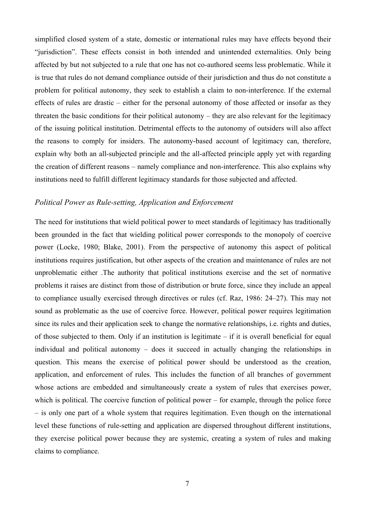simplified closed system of a state, domestic or international rules may have effects beyond their "jurisdiction". These effects consist in both intended and unintended externalities. Only being affected by but not subjected to a rule that one has not co-authored seems less problematic. While it is true that rules do not demand compliance outside of their jurisdiction and thus do not constitute a problem for political autonomy, they seek to establish a claim to non-interference. If the external effects of rules are drastic – either for the personal autonomy of those affected or insofar as they threaten the basic conditions for their political autonomy – they are also relevant for the legitimacy of the issuing political institution. Detrimental effects to the autonomy of outsiders will also affect the reasons to comply for insiders. The autonomy-based account of legitimacy can, therefore, explain why both an all-subjected principle and the all-affected principle apply yet with regarding the creation of different reasons – namely compliance and non-interference. This also explains why institutions need to fulfill different legitimacy standards for those subjected and affected.

### *Political Power as Rule-setting, Application and Enforcement*

The need for institutions that wield political power to meet standards of legitimacy has traditionally been grounded in the fact that wielding political power corresponds to the monopoly of coercive power (Locke, 1980; Blake, 2001). From the perspective of autonomy this aspect of political institutions requires justification, but other aspects of the creation and maintenance of rules are not unproblematic either .The authority that political institutions exercise and the set of normative problems it raises are distinct from those of distribution or brute force, since they include an appeal to compliance usually exercised through directives or rules (cf. Raz, 1986: 24–27). This may not sound as problematic as the use of coercive force. However, political power requires legitimation since its rules and their application seek to change the normative relationships, i.e. rights and duties, of those subjected to them. Only if an institution is legitimate – if it is overall beneficial for equal individual and political autonomy – does it succeed in actually changing the relationships in question. This means the exercise of political power should be understood as the creation, application, and enforcement of rules. This includes the function of all branches of government whose actions are embedded and simultaneously create a system of rules that exercises power, which is political. The coercive function of political power – for example, through the police force – is only one part of a whole system that requires legitimation. Even though on the international level these functions of rule-setting and application are dispersed throughout different institutions, they exercise political power because they are systemic, creating a system of rules and making claims to compliance.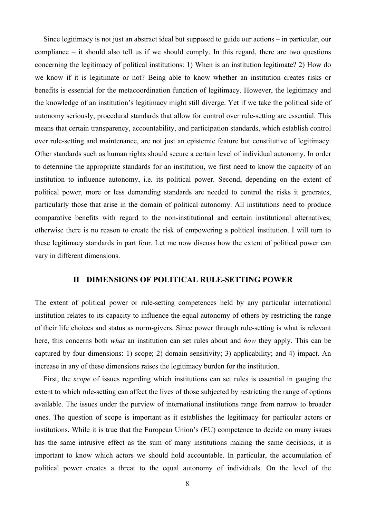Since legitimacy is not just an abstract ideal but supposed to guide our actions – in particular, our compliance – it should also tell us if we should comply. In this regard, there are two questions concerning the legitimacy of political institutions: 1) When is an institution legitimate? 2) How do we know if it is legitimate or not? Being able to know whether an institution creates risks or benefits is essential for the metacoordination function of legitimacy. However, the legitimacy and the knowledge of an institution's legitimacy might still diverge. Yet if we take the political side of autonomy seriously, procedural standards that allow for control over rule-setting are essential. This means that certain transparency, accountability, and participation standards, which establish control over rule-setting and maintenance, are not just an epistemic feature but constitutive of legitimacy. Other standards such as human rights should secure a certain level of individual autonomy. In order to determine the appropriate standards for an institution, we first need to know the capacity of an institution to influence autonomy, i.e. its political power. Second, depending on the extent of political power, more or less demanding standards are needed to control the risks it generates, particularly those that arise in the domain of political autonomy. All institutions need to produce comparative benefits with regard to the non-institutional and certain institutional alternatives; otherwise there is no reason to create the risk of empowering a political institution. I will turn to these legitimacy standards in part four. Let me now discuss how the extent of political power can vary in different dimensions.

# **II DIMENSIONS OF POLITICAL RULE-SETTING POWER**

The extent of political power or rule-setting competences held by any particular international institution relates to its capacity to influence the equal autonomy of others by restricting the range of their life choices and status as norm-givers. Since power through rule-setting is what is relevant here, this concerns both *what* an institution can set rules about and *how* they apply. This can be captured by four dimensions: 1) scope; 2) domain sensitivity; 3) applicability; and 4) impact. An increase in any of these dimensions raises the legitimacy burden for the institution.

First, the *scope* of issues regarding which institutions can set rules is essential in gauging the extent to which rule-setting can affect the lives of those subjected by restricting the range of options available. The issues under the purview of international institutions range from narrow to broader ones. The question of scope is important as it establishes the legitimacy for particular actors or institutions. While it is true that the European Union's (EU) competence to decide on many issues has the same intrusive effect as the sum of many institutions making the same decisions, it is important to know which actors we should hold accountable. In particular, the accumulation of political power creates a threat to the equal autonomy of individuals. On the level of the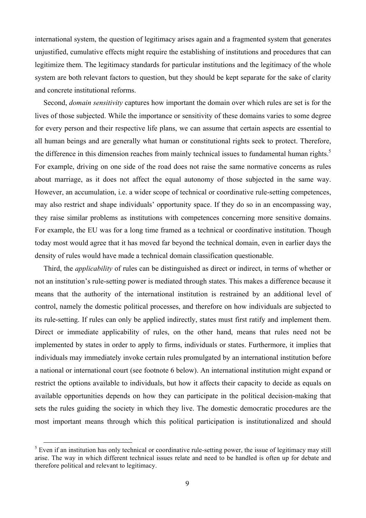international system, the question of legitimacy arises again and a fragmented system that generates unjustified, cumulative effects might require the establishing of institutions and procedures that can legitimize them. The legitimacy standards for particular institutions and the legitimacy of the whole system are both relevant factors to question, but they should be kept separate for the sake of clarity and concrete institutional reforms.

Second, *domain sensitivity* captures how important the domain over which rules are set is for the lives of those subjected. While the importance or sensitivity of these domains varies to some degree for every person and their respective life plans, we can assume that certain aspects are essential to all human beings and are generally what human or constitutional rights seek to protect. Therefore, the difference in this dimension reaches from mainly technical issues to fundamental human rights.<sup>5</sup> For example, driving on one side of the road does not raise the same normative concerns as rules about marriage, as it does not affect the equal autonomy of those subjected in the same way. However, an accumulation, i.e. a wider scope of technical or coordinative rule-setting competences, may also restrict and shape individuals' opportunity space. If they do so in an encompassing way, they raise similar problems as institutions with competences concerning more sensitive domains. For example, the EU was for a long time framed as a technical or coordinative institution. Though today most would agree that it has moved far beyond the technical domain, even in earlier days the density of rules would have made a technical domain classification questionable.

Third, the *applicability* of rules can be distinguished as direct or indirect, in terms of whether or not an institution's rule-setting power is mediated through states. This makes a difference because it means that the authority of the international institution is restrained by an additional level of control, namely the domestic political processes, and therefore on how individuals are subjected to its rule-setting. If rules can only be applied indirectly, states must first ratify and implement them. Direct or immediate applicability of rules, on the other hand, means that rules need not be implemented by states in order to apply to firms, individuals or states. Furthermore, it implies that individuals may immediately invoke certain rules promulgated by an international institution before a national or international court (see footnote 6 below). An international institution might expand or restrict the options available to individuals, but how it affects their capacity to decide as equals on available opportunities depends on how they can participate in the political decision-making that sets the rules guiding the society in which they live. The domestic democratic procedures are the most important means through which this political participation is institutionalized and should

 $<sup>5</sup>$  Even if an institution has only technical or coordinative rule-setting power, the issue of legitimacy may still</sup> arise. The way in which different technical issues relate and need to be handled is often up for debate and therefore political and relevant to legitimacy.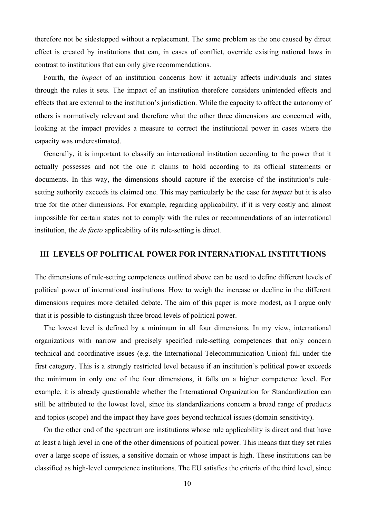therefore not be sidestepped without a replacement. The same problem as the one caused by direct effect is created by institutions that can, in cases of conflict, override existing national laws in contrast to institutions that can only give recommendations.

Fourth, the *impact* of an institution concerns how it actually affects individuals and states through the rules it sets. The impact of an institution therefore considers unintended effects and effects that are external to the institution's jurisdiction. While the capacity to affect the autonomy of others is normatively relevant and therefore what the other three dimensions are concerned with, looking at the impact provides a measure to correct the institutional power in cases where the capacity was underestimated.

Generally, it is important to classify an international institution according to the power that it actually possesses and not the one it claims to hold according to its official statements or documents. In this way, the dimensions should capture if the exercise of the institution's rulesetting authority exceeds its claimed one. This may particularly be the case for *impact* but it is also true for the other dimensions. For example, regarding applicability, if it is very costly and almost impossible for certain states not to comply with the rules or recommendations of an international institution, the *de facto* applicability of its rule-setting is direct.

### **III LEVELS OF POLITICAL POWER FOR INTERNATIONAL INSTITUTIONS**

The dimensions of rule-setting competences outlined above can be used to define different levels of political power of international institutions. How to weigh the increase or decline in the different dimensions requires more detailed debate. The aim of this paper is more modest, as I argue only that it is possible to distinguish three broad levels of political power.

The lowest level is defined by a minimum in all four dimensions. In my view, international organizations with narrow and precisely specified rule-setting competences that only concern technical and coordinative issues (e.g. the International Telecommunication Union) fall under the first category. This is a strongly restricted level because if an institution's political power exceeds the minimum in only one of the four dimensions, it falls on a higher competence level. For example, it is already questionable whether the International Organization for Standardization can still be attributed to the lowest level, since its standardizations concern a broad range of products and topics (scope) and the impact they have goes beyond technical issues (domain sensitivity).

On the other end of the spectrum are institutions whose rule applicability is direct and that have at least a high level in one of the other dimensions of political power. This means that they set rules over a large scope of issues, a sensitive domain or whose impact is high. These institutions can be classified as high-level competence institutions. The EU satisfies the criteria of the third level, since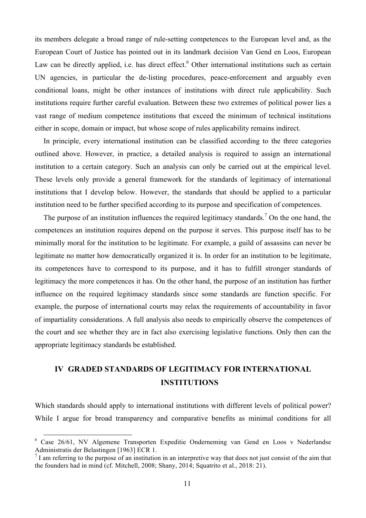its members delegate a broad range of rule-setting competences to the European level and, as the European Court of Justice has pointed out in its landmark decision Van Gend en Loos, European Law can be directly applied, i.e. has direct effect.<sup>6</sup> Other international institutions such as certain UN agencies, in particular the de-listing procedures, peace-enforcement and arguably even conditional loans, might be other instances of institutions with direct rule applicability. Such institutions require further careful evaluation. Between these two extremes of political power lies a vast range of medium competence institutions that exceed the minimum of technical institutions either in scope, domain or impact, but whose scope of rules applicability remains indirect.

In principle, every international institution can be classified according to the three categories outlined above. However, in practice, a detailed analysis is required to assign an international institution to a certain category. Such an analysis can only be carried out at the empirical level. These levels only provide a general framework for the standards of legitimacy of international institutions that I develop below. However, the standards that should be applied to a particular institution need to be further specified according to its purpose and specification of competences.

The purpose of an institution influences the required legitimacy standards.<sup>7</sup> On the one hand, the competences an institution requires depend on the purpose it serves. This purpose itself has to be minimally moral for the institution to be legitimate. For example, a guild of assassins can never be legitimate no matter how democratically organized it is. In order for an institution to be legitimate, its competences have to correspond to its purpose, and it has to fulfill stronger standards of legitimacy the more competences it has. On the other hand, the purpose of an institution has further influence on the required legitimacy standards since some standards are function specific. For example, the purpose of international courts may relax the requirements of accountability in favor of impartiality considerations. A full analysis also needs to empirically observe the competences of the court and see whether they are in fact also exercising legislative functions. Only then can the appropriate legitimacy standards be established.

# **IV GRADED STANDARDS OF LEGITIMACY FOR INTERNATIONAL INSTITUTIONS**

Which standards should apply to international institutions with different levels of political power? While I argue for broad transparency and comparative benefits as minimal conditions for all

 <sup>6</sup> Case 26/61, NV Algemene Transporten Expeditie Onderneming van Gend en Loos v Nederlandse Administratis der Belastingen [1963] ECR 1.

 $<sup>7</sup>$  I am referring to the purpose of an institution in an interpretive way that does not just consist of the aim that</sup> the founders had in mind (cf. Mitchell, 2008; Shany, 2014; Squatrito et al., 2018: 21).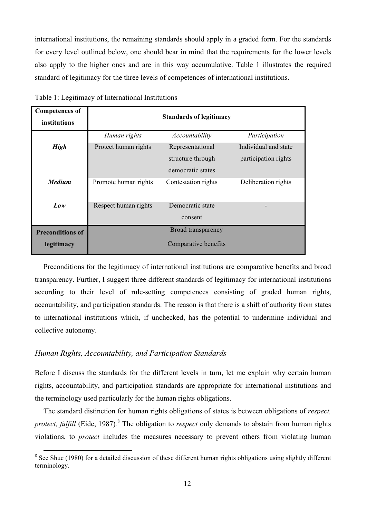international institutions, the remaining standards should apply in a graded form. For the standards for every level outlined below, one should bear in mind that the requirements for the lower levels also apply to the higher ones and are in this way accumulative. Table 1 illustrates the required standard of legitimacy for the three levels of competences of international institutions.

| <b>Competences of</b><br>institutions | <b>Standards of legitimacy</b> |                     |                      |  |  |
|---------------------------------------|--------------------------------|---------------------|----------------------|--|--|
|                                       | Human rights                   | Accountability      | Participation        |  |  |
| <b>High</b>                           | Protect human rights           | Representational    | Individual and state |  |  |
|                                       |                                | structure through   | participation rights |  |  |
|                                       |                                | democratic states   |                      |  |  |
| <b>Medium</b>                         | Promote human rights           | Contestation rights | Deliberation rights  |  |  |
| Low                                   | Respect human rights           | Democratic state    |                      |  |  |
|                                       | consent                        |                     |                      |  |  |
| <b>Preconditions of</b>               | Broad transparency             |                     |                      |  |  |
| legitimacy                            | Comparative benefits           |                     |                      |  |  |

| Table 1: Legitimacy of International Institutions |  |  |
|---------------------------------------------------|--|--|
|                                                   |  |  |

Preconditions for the legitimacy of international institutions are comparative benefits and broad transparency. Further, I suggest three different standards of legitimacy for international institutions according to their level of rule-setting competences consisting of graded human rights, accountability, and participation standards. The reason is that there is a shift of authority from states to international institutions which, if unchecked, has the potential to undermine individual and collective autonomy.

### *Human Rights, Accountability, and Participation Standards*

Before I discuss the standards for the different levels in turn, let me explain why certain human rights, accountability, and participation standards are appropriate for international institutions and the terminology used particularly for the human rights obligations.

The standard distinction for human rights obligations of states is between obligations of *respect, protect, fulfill* (Eide, 1987)*.* <sup>8</sup> The obligation to *respect* only demands to abstain from human rights violations, to *protect* includes the measures necessary to prevent others from violating human

<sup>&</sup>lt;sup>8</sup> See Shue (1980) for a detailed discussion of these different human rights obligations using slightly different terminology.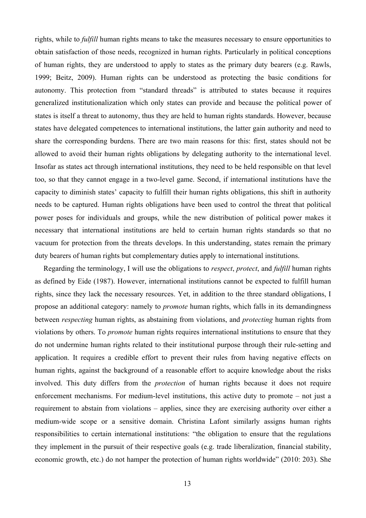rights, while to *fulfill* human rights means to take the measures necessary to ensure opportunities to obtain satisfaction of those needs, recognized in human rights. Particularly in political conceptions of human rights, they are understood to apply to states as the primary duty bearers (e.g. Rawls, 1999; Beitz, 2009). Human rights can be understood as protecting the basic conditions for autonomy. This protection from "standard threads" is attributed to states because it requires generalized institutionalization which only states can provide and because the political power of states is itself a threat to autonomy, thus they are held to human rights standards. However, because states have delegated competences to international institutions, the latter gain authority and need to share the corresponding burdens. There are two main reasons for this: first, states should not be allowed to avoid their human rights obligations by delegating authority to the international level. Insofar as states act through international institutions, they need to be held responsible on that level too, so that they cannot engage in a two-level game. Second, if international institutions have the capacity to diminish states' capacity to fulfill their human rights obligations, this shift in authority needs to be captured. Human rights obligations have been used to control the threat that political power poses for individuals and groups, while the new distribution of political power makes it necessary that international institutions are held to certain human rights standards so that no vacuum for protection from the threats develops. In this understanding, states remain the primary duty bearers of human rights but complementary duties apply to international institutions.

Regarding the terminology, I will use the obligations to *respect*, *protect*, and *fulfill* human rights as defined by Eide (1987). However, international institutions cannot be expected to fulfill human rights, since they lack the necessary resources. Yet, in addition to the three standard obligations, I propose an additional category: namely to *promote* human rights, which falls in its demandingness between *respecting* human rights, as abstaining from violations, and *protecting* human rights from violations by others. To *promote* human rights requires international institutions to ensure that they do not undermine human rights related to their institutional purpose through their rule-setting and application. It requires a credible effort to prevent their rules from having negative effects on human rights, against the background of a reasonable effort to acquire knowledge about the risks involved. This duty differs from the *protection* of human rights because it does not require enforcement mechanisms. For medium-level institutions, this active duty to promote – not just a requirement to abstain from violations – applies, since they are exercising authority over either a medium-wide scope or a sensitive domain. Christina Lafont similarly assigns human rights responsibilities to certain international institutions: "the obligation to ensure that the regulations they implement in the pursuit of their respective goals (e.g. trade liberalization, financial stability, economic growth, etc.) do not hamper the protection of human rights worldwide" (2010: 203). She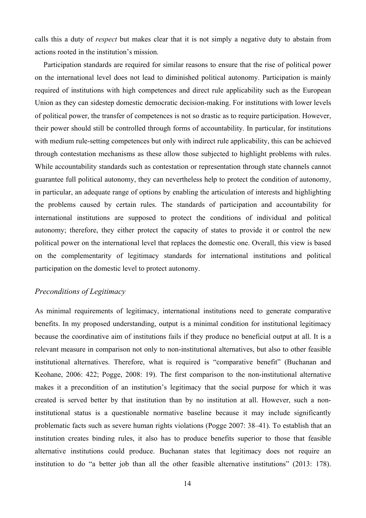calls this a duty of *respect* but makes clear that it is not simply a negative duty to abstain from actions rooted in the institution's mission.

Participation standards are required for similar reasons to ensure that the rise of political power on the international level does not lead to diminished political autonomy. Participation is mainly required of institutions with high competences and direct rule applicability such as the European Union as they can sidestep domestic democratic decision-making. For institutions with lower levels of political power, the transfer of competences is not so drastic as to require participation. However, their power should still be controlled through forms of accountability. In particular, for institutions with medium rule-setting competences but only with indirect rule applicability, this can be achieved through contestation mechanisms as these allow those subjected to highlight problems with rules. While accountability standards such as contestation or representation through state channels cannot guarantee full political autonomy, they can nevertheless help to protect the condition of autonomy, in particular, an adequate range of options by enabling the articulation of interests and highlighting the problems caused by certain rules. The standards of participation and accountability for international institutions are supposed to protect the conditions of individual and political autonomy; therefore, they either protect the capacity of states to provide it or control the new political power on the international level that replaces the domestic one. Overall, this view is based on the complementarity of legitimacy standards for international institutions and political participation on the domestic level to protect autonomy.

### *Preconditions of Legitimacy*

As minimal requirements of legitimacy, international institutions need to generate comparative benefits. In my proposed understanding, output is a minimal condition for institutional legitimacy because the coordinative aim of institutions fails if they produce no beneficial output at all. It is a relevant measure in comparison not only to non-institutional alternatives, but also to other feasible institutional alternatives. Therefore, what is required is "comparative benefit" (Buchanan and Keohane, 2006: 422; Pogge, 2008: 19). The first comparison to the non-institutional alternative makes it a precondition of an institution's legitimacy that the social purpose for which it was created is served better by that institution than by no institution at all. However, such a noninstitutional status is a questionable normative baseline because it may include significantly problematic facts such as severe human rights violations (Pogge 2007: 38–41). To establish that an institution creates binding rules, it also has to produce benefits superior to those that feasible alternative institutions could produce. Buchanan states that legitimacy does not require an institution to do "a better job than all the other feasible alternative institutions" (2013: 178).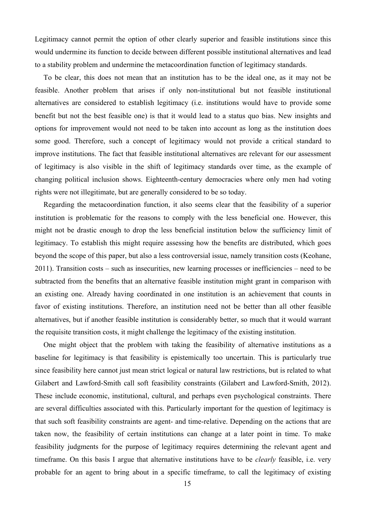Legitimacy cannot permit the option of other clearly superior and feasible institutions since this would undermine its function to decide between different possible institutional alternatives and lead to a stability problem and undermine the metacoordination function of legitimacy standards.

To be clear, this does not mean that an institution has to be the ideal one, as it may not be feasible. Another problem that arises if only non-institutional but not feasible institutional alternatives are considered to establish legitimacy (i.e. institutions would have to provide some benefit but not the best feasible one) is that it would lead to a status quo bias. New insights and options for improvement would not need to be taken into account as long as the institution does some good. Therefore, such a concept of legitimacy would not provide a critical standard to improve institutions. The fact that feasible institutional alternatives are relevant for our assessment of legitimacy is also visible in the shift of legitimacy standards over time, as the example of changing political inclusion shows. Eighteenth-century democracies where only men had voting rights were not illegitimate, but are generally considered to be so today.

Regarding the metacoordination function, it also seems clear that the feasibility of a superior institution is problematic for the reasons to comply with the less beneficial one. However, this might not be drastic enough to drop the less beneficial institution below the sufficiency limit of legitimacy. To establish this might require assessing how the benefits are distributed, which goes beyond the scope of this paper, but also a less controversial issue, namely transition costs (Keohane, 2011). Transition costs – such as insecurities, new learning processes or inefficiencies – need to be subtracted from the benefits that an alternative feasible institution might grant in comparison with an existing one. Already having coordinated in one institution is an achievement that counts in favor of existing institutions. Therefore, an institution need not be better than all other feasible alternatives, but if another feasible institution is considerably better, so much that it would warrant the requisite transition costs, it might challenge the legitimacy of the existing institution.

One might object that the problem with taking the feasibility of alternative institutions as a baseline for legitimacy is that feasibility is epistemically too uncertain. This is particularly true since feasibility here cannot just mean strict logical or natural law restrictions, but is related to what Gilabert and Lawford-Smith call soft feasibility constraints (Gilabert and Lawford-Smith, 2012). These include economic, institutional, cultural, and perhaps even psychological constraints. There are several difficulties associated with this. Particularly important for the question of legitimacy is that such soft feasibility constraints are agent- and time-relative. Depending on the actions that are taken now, the feasibility of certain institutions can change at a later point in time. To make feasibility judgments for the purpose of legitimacy requires determining the relevant agent and timeframe. On this basis I argue that alternative institutions have to be *clearly* feasible, i.e. very probable for an agent to bring about in a specific timeframe, to call the legitimacy of existing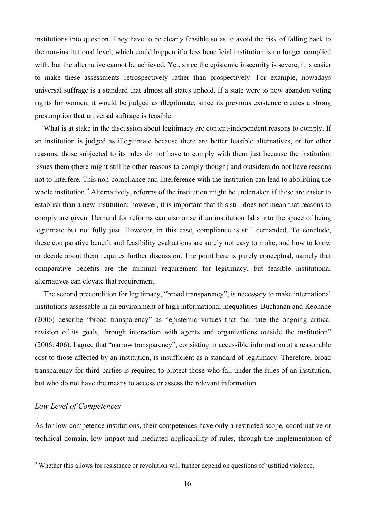institutions into question. They have to be clearly feasible so as to avoid the risk of falling back to the non-institutional level, which could happen if a less beneficial institution is no longer complied with, but the alternative cannot be achieved. Yet, since the epistemic insecurity is severe, it is easier to make these assessments retrospectively rather than prospectively. For example, nowadays universal suffrage is a standard that almost all states uphold. If a state were to now abandon voting rights for women, it would be judged as illegitimate, since its previous existence creates a strong presumption that universal suffrage is feasible.

What is at stake in the discussion about legitimacy are content-independent reasons to comply. If an institution is judged as illegitimate because there are better feasible alternatives, or for other reasons, those subjected to its rules do not have to comply with them just because the institution issues them (there might still be other reasons to comply though) and outsiders do not have reasons not to interfere. This non-compliance and interference with the institution can lead to abolishing the whole institution.<sup>9</sup> Alternatively, reforms of the institution might be undertaken if these are easier to establish than a new institution; however, it is important that this still does not mean that reasons to comply are given. Demand for reforms can also arise if an institution falls into the space of being legitimate but not fully just. However, in this case, compliance is still demanded. To conclude, these comparative benefit and feasibility evaluations are surely not easy to make, and how to know or decide about them requires further discussion. The point here is purely conceptual, namely that comparative benefits are the minimal requirement for legitimacy, but feasible institutional alternatives can elevate that requirement.

The second precondition for legitimacy, "broad transparency", is necessary to make international institutions assessable in an environment of high informational inequalities. Buchanan and Keohane (2006) describe "broad transparency" as "epistemic virtues that facilitate the ongoing critical revision of its goals, through interaction with agents and organizations outside the institution" (2006: 406). I agree that "narrow transparency", consisting in accessible information at a reasonable cost to those affected by an institution, is insufficient as a standard of legitimacy. Therefore, broad transparency for third parties is required to protect those who fall under the rules of an institution, but who do not have the means to access or assess the relevant information.

### *Low Level of Competences*

As for low-competence institutions, their competences have only a restricted scope, coordinative or technical domain, low impact and mediated applicability of rules, through the implementation of

<sup>&</sup>lt;sup>9</sup> Whether this allows for resistance or revolution will further depend on questions of justified violence.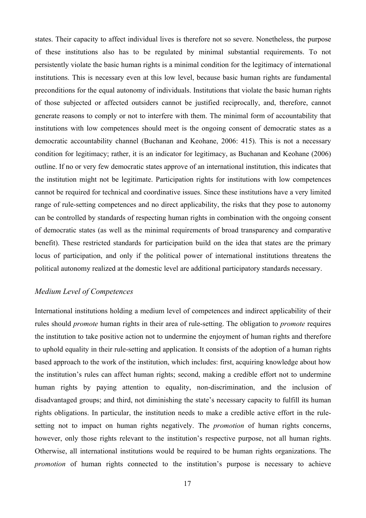states. Their capacity to affect individual lives is therefore not so severe. Nonetheless, the purpose of these institutions also has to be regulated by minimal substantial requirements. To not persistently violate the basic human rights is a minimal condition for the legitimacy of international institutions. This is necessary even at this low level, because basic human rights are fundamental preconditions for the equal autonomy of individuals. Institutions that violate the basic human rights of those subjected or affected outsiders cannot be justified reciprocally, and, therefore, cannot generate reasons to comply or not to interfere with them. The minimal form of accountability that institutions with low competences should meet is the ongoing consent of democratic states as a democratic accountability channel (Buchanan and Keohane, 2006: 415). This is not a necessary condition for legitimacy; rather, it is an indicator for legitimacy, as Buchanan and Keohane (2006) outline. If no or very few democratic states approve of an international institution, this indicates that the institution might not be legitimate. Participation rights for institutions with low competences cannot be required for technical and coordinative issues. Since these institutions have a very limited range of rule-setting competences and no direct applicability, the risks that they pose to autonomy can be controlled by standards of respecting human rights in combination with the ongoing consent of democratic states (as well as the minimal requirements of broad transparency and comparative benefit). These restricted standards for participation build on the idea that states are the primary locus of participation, and only if the political power of international institutions threatens the political autonomy realized at the domestic level are additional participatory standards necessary.

### *Medium Level of Competences*

International institutions holding a medium level of competences and indirect applicability of their rules should *promote* human rights in their area of rule-setting. The obligation to *promote* requires the institution to take positive action not to undermine the enjoyment of human rights and therefore to uphold equality in their rule-setting and application. It consists of the adoption of a human rights based approach to the work of the institution, which includes: first, acquiring knowledge about how the institution's rules can affect human rights; second, making a credible effort not to undermine human rights by paying attention to equality, non-discrimination, and the inclusion of disadvantaged groups; and third, not diminishing the state's necessary capacity to fulfill its human rights obligations. In particular, the institution needs to make a credible active effort in the rulesetting not to impact on human rights negatively. The *promotion* of human rights concerns, however, only those rights relevant to the institution's respective purpose, not all human rights. Otherwise, all international institutions would be required to be human rights organizations. The *promotion* of human rights connected to the institution's purpose is necessary to achieve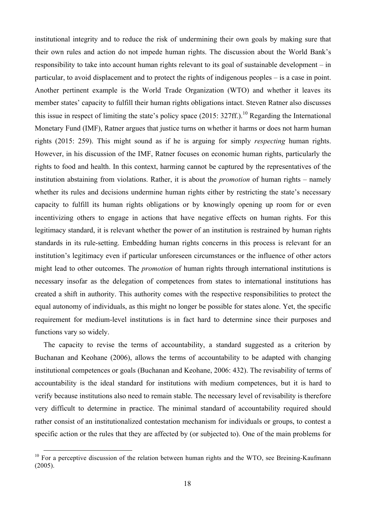institutional integrity and to reduce the risk of undermining their own goals by making sure that their own rules and action do not impede human rights. The discussion about the World Bank's responsibility to take into account human rights relevant to its goal of sustainable development – in particular, to avoid displacement and to protect the rights of indigenous peoples – is a case in point. Another pertinent example is the World Trade Organization (WTO) and whether it leaves its member states' capacity to fulfill their human rights obligations intact. Steven Ratner also discusses this issue in respect of limiting the state's policy space  $(2015: 327ff.)$ .<sup>10</sup> Regarding the International Monetary Fund (IMF), Ratner argues that justice turns on whether it harms or does not harm human rights (2015: 259). This might sound as if he is arguing for simply *respecting* human rights. However, in his discussion of the IMF, Ratner focuses on economic human rights, particularly the rights to food and health. In this context, harming cannot be captured by the representatives of the institution abstaining from violations. Rather, it is about the *promotion* of human rights – namely whether its rules and decisions undermine human rights either by restricting the state's necessary capacity to fulfill its human rights obligations or by knowingly opening up room for or even incentivizing others to engage in actions that have negative effects on human rights. For this legitimacy standard, it is relevant whether the power of an institution is restrained by human rights standards in its rule-setting. Embedding human rights concerns in this process is relevant for an institution's legitimacy even if particular unforeseen circumstances or the influence of other actors might lead to other outcomes. The *promotion* of human rights through international institutions is necessary insofar as the delegation of competences from states to international institutions has created a shift in authority. This authority comes with the respective responsibilities to protect the equal autonomy of individuals, as this might no longer be possible for states alone. Yet, the specific requirement for medium-level institutions is in fact hard to determine since their purposes and functions vary so widely.

The capacity to revise the terms of accountability, a standard suggested as a criterion by Buchanan and Keohane (2006), allows the terms of accountability to be adapted with changing institutional competences or goals (Buchanan and Keohane, 2006: 432). The revisability of terms of accountability is the ideal standard for institutions with medium competences, but it is hard to verify because institutions also need to remain stable. The necessary level of revisability is therefore very difficult to determine in practice. The minimal standard of accountability required should rather consist of an institutionalized contestation mechanism for individuals or groups, to contest a specific action or the rules that they are affected by (or subjected to). One of the main problems for

 $10$  For a perceptive discussion of the relation between human rights and the WTO, see Breining-Kaufmann (2005).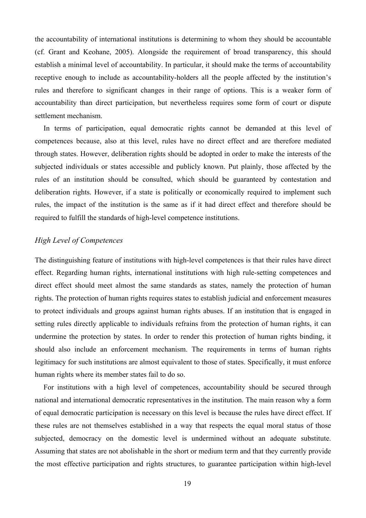the accountability of international institutions is determining to whom they should be accountable (cf. Grant and Keohane, 2005). Alongside the requirement of broad transparency, this should establish a minimal level of accountability. In particular, it should make the terms of accountability receptive enough to include as accountability-holders all the people affected by the institution's rules and therefore to significant changes in their range of options. This is a weaker form of accountability than direct participation, but nevertheless requires some form of court or dispute settlement mechanism.

In terms of participation, equal democratic rights cannot be demanded at this level of competences because, also at this level, rules have no direct effect and are therefore mediated through states. However, deliberation rights should be adopted in order to make the interests of the subjected individuals or states accessible and publicly known. Put plainly, those affected by the rules of an institution should be consulted, which should be guaranteed by contestation and deliberation rights. However, if a state is politically or economically required to implement such rules, the impact of the institution is the same as if it had direct effect and therefore should be required to fulfill the standards of high-level competence institutions.

## *High Level of Competences*

The distinguishing feature of institutions with high-level competences is that their rules have direct effect. Regarding human rights, international institutions with high rule-setting competences and direct effect should meet almost the same standards as states, namely the protection of human rights. The protection of human rights requires states to establish judicial and enforcement measures to protect individuals and groups against human rights abuses. If an institution that is engaged in setting rules directly applicable to individuals refrains from the protection of human rights, it can undermine the protection by states. In order to render this protection of human rights binding, it should also include an enforcement mechanism. The requirements in terms of human rights legitimacy for such institutions are almost equivalent to those of states. Specifically, it must enforce human rights where its member states fail to do so.

For institutions with a high level of competences, accountability should be secured through national and international democratic representatives in the institution. The main reason why a form of equal democratic participation is necessary on this level is because the rules have direct effect. If these rules are not themselves established in a way that respects the equal moral status of those subjected, democracy on the domestic level is undermined without an adequate substitute. Assuming that states are not abolishable in the short or medium term and that they currently provide the most effective participation and rights structures, to guarantee participation within high-level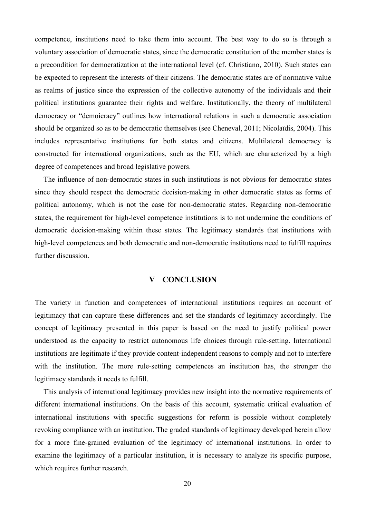competence, institutions need to take them into account. The best way to do so is through a voluntary association of democratic states, since the democratic constitution of the member states is a precondition for democratization at the international level (cf. Christiano, 2010). Such states can be expected to represent the interests of their citizens. The democratic states are of normative value as realms of justice since the expression of the collective autonomy of the individuals and their political institutions guarantee their rights and welfare. Institutionally, the theory of multilateral democracy or "demoicracy" outlines how international relations in such a democratic association should be organized so as to be democratic themselves (see Cheneval, 2011; Nicolaïdis, 2004). This includes representative institutions for both states and citizens. Multilateral democracy is constructed for international organizations, such as the EU, which are characterized by a high degree of competences and broad legislative powers.

The influence of non-democratic states in such institutions is not obvious for democratic states since they should respect the democratic decision-making in other democratic states as forms of political autonomy, which is not the case for non-democratic states. Regarding non-democratic states, the requirement for high-level competence institutions is to not undermine the conditions of democratic decision-making within these states. The legitimacy standards that institutions with high-level competences and both democratic and non-democratic institutions need to fulfill requires further discussion.

# **V CONCLUSION**

The variety in function and competences of international institutions requires an account of legitimacy that can capture these differences and set the standards of legitimacy accordingly. The concept of legitimacy presented in this paper is based on the need to justify political power understood as the capacity to restrict autonomous life choices through rule-setting. International institutions are legitimate if they provide content-independent reasons to comply and not to interfere with the institution. The more rule-setting competences an institution has, the stronger the legitimacy standards it needs to fulfill.

This analysis of international legitimacy provides new insight into the normative requirements of different international institutions. On the basis of this account, systematic critical evaluation of international institutions with specific suggestions for reform is possible without completely revoking compliance with an institution. The graded standards of legitimacy developed herein allow for a more fine-grained evaluation of the legitimacy of international institutions. In order to examine the legitimacy of a particular institution, it is necessary to analyze its specific purpose, which requires further research.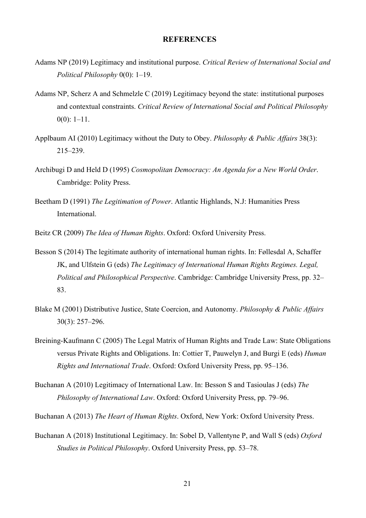### **REFERENCES**

- Adams NP (2019) Legitimacy and institutional purpose. *Critical Review of International Social and Political Philosophy* 0(0): 1–19.
- Adams NP, Scherz A and Schmelzle C (2019) Legitimacy beyond the state: institutional purposes and contextual constraints. *Critical Review of International Social and Political Philosophy*  $0(0)$ : 1–11.
- Applbaum AI (2010) Legitimacy without the Duty to Obey. *Philosophy & Public Affairs* 38(3): 215–239.
- Archibugi D and Held D (1995) *Cosmopolitan Democracy: An Agenda for a New World Order*. Cambridge: Polity Press.
- Beetham D (1991) *The Legitimation of Power*. Atlantic Highlands, N.J: Humanities Press **International**
- Beitz CR (2009) *The Idea of Human Rights*. Oxford: Oxford University Press.
- Besson S (2014) The legitimate authority of international human rights. In: Føllesdal A, Schaffer JK, and Ulfstein G (eds) *The Legitimacy of International Human Rights Regimes. Legal, Political and Philosophical Perspective*. Cambridge: Cambridge University Press, pp. 32– 83.
- Blake M (2001) Distributive Justice, State Coercion, and Autonomy. *Philosophy & Public Affairs* 30(3): 257–296.
- Breining-Kaufmann C (2005) The Legal Matrix of Human Rights and Trade Law: State Obligations versus Private Rights and Obligations. In: Cottier T, Pauwelyn J, and Burgi E (eds) *Human Rights and International Trade*. Oxford: Oxford University Press, pp. 95–136.
- Buchanan A (2010) Legitimacy of International Law. In: Besson S and Tasioulas J (eds) *The Philosophy of International Law*. Oxford: Oxford University Press, pp. 79–96.
- Buchanan A (2013) *The Heart of Human Rights*. Oxford, New York: Oxford University Press.
- Buchanan A (2018) Institutional Legitimacy. In: Sobel D, Vallentyne P, and Wall S (eds) *Oxford Studies in Political Philosophy*. Oxford University Press, pp. 53–78.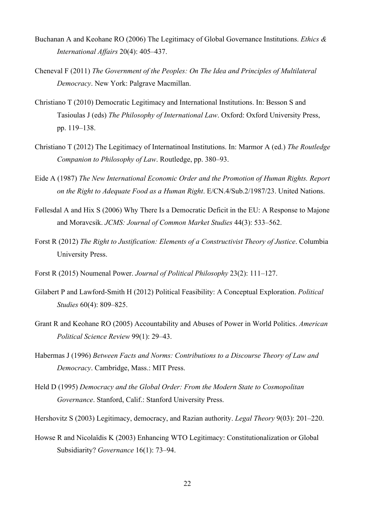- Buchanan A and Keohane RO (2006) The Legitimacy of Global Governance Institutions. *Ethics & International Affairs* 20(4): 405–437.
- Cheneval F (2011) *The Government of the Peoples: On The Idea and Principles of Multilateral Democracy*. New York: Palgrave Macmillan.
- Christiano T (2010) Democratic Legitimacy and International Institutions. In: Besson S and Tasioulas J (eds) *The Philosophy of International Law*. Oxford: Oxford University Press, pp. 119–138.
- Christiano T (2012) The Legitimacy of Internatinoal Institutions. In: Marmor A (ed.) *The Routledge Companion to Philosophy of Law*. Routledge, pp. 380–93.
- Eide A (1987) *The New International Economic Order and the Promotion of Human Rights. Report on the Right to Adequate Food as a Human Right*. E/CN.4/Sub.2/1987/23. United Nations.
- Føllesdal A and Hix S (2006) Why There Is a Democratic Deficit in the EU: A Response to Majone and Moravcsik. *JCMS: Journal of Common Market Studies* 44(3): 533–562.
- Forst R (2012) *The Right to Justification: Elements of a Constructivist Theory of Justice*. Columbia University Press.
- Forst R (2015) Noumenal Power. *Journal of Political Philosophy* 23(2): 111–127.
- Gilabert P and Lawford-Smith H (2012) Political Feasibility: A Conceptual Exploration. *Political Studies* 60(4): 809–825.
- Grant R and Keohane RO (2005) Accountability and Abuses of Power in World Politics. *American Political Science Review* 99(1): 29–43.
- Habermas J (1996) *Between Facts and Norms: Contributions to a Discourse Theory of Law and Democracy*. Cambridge, Mass.: MIT Press.
- Held D (1995) *Democracy and the Global Order: From the Modern State to Cosmopolitan Governance*. Stanford, Calif.: Stanford University Press.
- Hershovitz S (2003) Legitimacy, democracy, and Razian authority. *Legal Theory* 9(03): 201–220.
- Howse R and Nicolaïdis K (2003) Enhancing WTO Legitimacy: Constitutionalization or Global Subsidiarity? *Governance* 16(1): 73–94.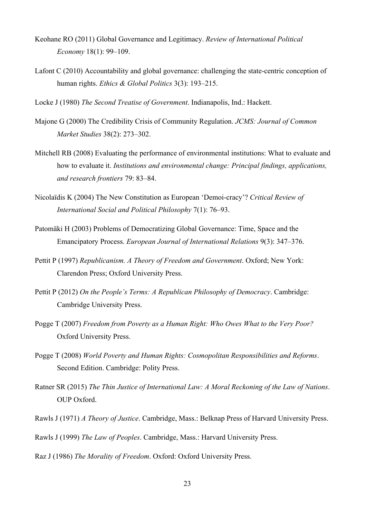- Keohane RO (2011) Global Governance and Legitimacy. *Review of International Political Economy* 18(1): 99–109.
- Lafont C (2010) Accountability and global governance: challenging the state-centric conception of human rights. *Ethics & Global Politics* 3(3): 193–215.
- Locke J (1980) *The Second Treatise of Government*. Indianapolis, Ind.: Hackett.
- Majone G (2000) The Credibility Crisis of Community Regulation. *JCMS: Journal of Common Market Studies* 38(2): 273–302.
- Mitchell RB (2008) Evaluating the performance of environmental institutions: What to evaluate and how to evaluate it. *Institutions and environmental change: Principal findings, applications, and research frontiers* 79: 83–84.
- Nicolaïdis K (2004) The New Constitution as European 'Demoi-cracy'? *Critical Review of International Social and Political Philosophy* 7(1): 76–93.
- Patomäki H (2003) Problems of Democratizing Global Governance: Time, Space and the Emancipatory Process. *European Journal of International Relations* 9(3): 347–376.
- Pettit P (1997) *Republicanism. A Theory of Freedom and Government*. Oxford; New York: Clarendon Press; Oxford University Press.
- Pettit P (2012) *On the People's Terms: A Republican Philosophy of Democracy*. Cambridge: Cambridge University Press.
- Pogge T (2007) *Freedom from Poverty as a Human Right: Who Owes What to the Very Poor?* Oxford University Press.
- Pogge T (2008) *World Poverty and Human Rights: Cosmopolitan Responsibilities and Reforms*. Second Edition. Cambridge: Polity Press.
- Ratner SR (2015) *The Thin Justice of International Law: A Moral Reckoning of the Law of Nations*. OUP Oxford.
- Rawls J (1971) *A Theory of Justice*. Cambridge, Mass.: Belknap Press of Harvard University Press.

Rawls J (1999) *The Law of Peoples*. Cambridge, Mass.: Harvard University Press.

Raz J (1986) *The Morality of Freedom*. Oxford: Oxford University Press.